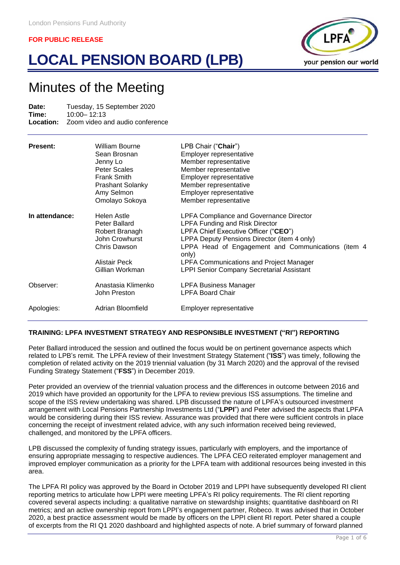# **LOCAL PENSION BOARD (LPB)**



# Minutes of the Meeting

**Date:** Tuesday, 15 September 2020<br>**Time:** 10:00-12:13 **Time:** 10:00– 12:13 **Location:** Zoom video and audio conference

| <b>Present:</b> | William Bourne<br>Sean Brosnan<br>Jenny Lo<br>Peter Scales<br>Frank Smith<br><b>Prashant Solanky</b><br>Amy Selmon<br>Omolayo Sokoya | LPB Chair ("Chair")<br>Employer representative<br>Member representative<br>Member representative<br>Employer representative<br>Member representative<br>Employer representative<br>Member representative                                                                                                                                            |
|-----------------|--------------------------------------------------------------------------------------------------------------------------------------|-----------------------------------------------------------------------------------------------------------------------------------------------------------------------------------------------------------------------------------------------------------------------------------------------------------------------------------------------------|
| In attendance:  | Helen Astle<br>Peter Ballard<br>Robert Branagh<br>John Crowhurst<br>Chris Dawson<br>Alistair Peck<br>Gillian Workman                 | <b>LPFA Compliance and Governance Director</b><br><b>LPFA Funding and Risk Director</b><br>LPFA Chief Executive Officer ("CEO")<br>LPPA Deputy Pensions Director (item 4 only)<br>LPPA Head of Engagement and Communications (item 4<br>only)<br><b>LPFA Communications and Project Manager</b><br><b>LPPI Senior Company Secretarial Assistant</b> |
| Observer:       | Anastasia Klimenko<br>John Preston                                                                                                   | <b>LPFA Business Manager</b><br><b>LPFA Board Chair</b>                                                                                                                                                                                                                                                                                             |
| Apologies:      | Adrian Bloomfield                                                                                                                    | Employer representative                                                                                                                                                                                                                                                                                                                             |

# **TRAINING: LPFA INVESTMENT STRATEGY AND RESPONSIBLE INVESTMENT ("RI") REPORTING**

Peter Ballard introduced the session and outlined the focus would be on pertinent governance aspects which related to LPB's remit. The LPFA review of their Investment Strategy Statement ("**ISS**") was timely, following the completion of related activity on the 2019 triennial valuation (by 31 March 2020) and the approval of the revised Funding Strategy Statement ("**FSS**") in December 2019.

Peter provided an overview of the triennial valuation process and the differences in outcome between 2016 and 2019 which have provided an opportunity for the LPFA to review previous ISS assumptions. The timeline and scope of the ISS review undertaking was shared. LPB discussed the nature of LPFA's outsourced investment arrangement with Local Pensions Partnership Investments Ltd ("**LPPI**") and Peter advised the aspects that LPFA would be considering during their ISS review. Assurance was provided that there were sufficient controls in place concerning the receipt of investment related advice, with any such information received being reviewed, challenged, and monitored by the LPFA officers.

LPB discussed the complexity of funding strategy issues, particularly with employers, and the importance of ensuring appropriate messaging to respective audiences. The LPFA CEO reiterated employer management and improved employer communication as a priority for the LPFA team with additional resources being invested in this area.

The LPFA RI policy was approved by the Board in October 2019 and LPPI have subsequently developed RI client reporting metrics to articulate how LPPI were meeting LPFA's RI policy requirements. The RI client reporting covered several aspects including: a qualitative narrative on stewardship insights; quantitative dashboard on RI metrics; and an active ownership report from LPPI's engagement partner, Robeco. It was advised that in October 2020, a best practice assessment would be made by officers on the LPPI client RI report. Peter shared a couple of excerpts from the RI Q1 2020 dashboard and highlighted aspects of note. A brief summary of forward planned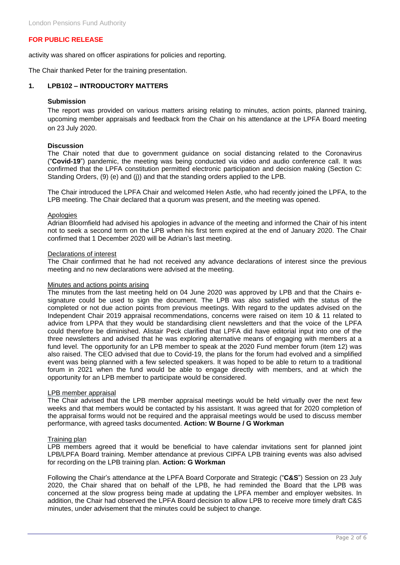activity was shared on officer aspirations for policies and reporting.

The Chair thanked Peter for the training presentation.

# **1. LPB102 – INTRODUCTORY MATTERS**

## **Submission**

The report was provided on various matters arising relating to minutes, action points, planned training, upcoming member appraisals and feedback from the Chair on his attendance at the LPFA Board meeting on 23 July 2020.

# **Discussion**

The Chair noted that due to government guidance on social distancing related to the Coronavirus ("**Covid-19**") pandemic, the meeting was being conducted via video and audio conference call. It was confirmed that the LPFA constitution permitted electronic participation and decision making (Section C: Standing Orders, (9) (e) and (j)) and that the standing orders applied to the LPB.

The Chair introduced the LPFA Chair and welcomed Helen Astle, who had recently joined the LPFA, to the LPB meeting. The Chair declared that a quorum was present, and the meeting was opened.

#### Apologies

Adrian Bloomfield had advised his apologies in advance of the meeting and informed the Chair of his intent not to seek a second term on the LPB when his first term expired at the end of January 2020. The Chair confirmed that 1 December 2020 will be Adrian's last meeting.

#### Declarations of interest

The Chair confirmed that he had not received any advance declarations of interest since the previous meeting and no new declarations were advised at the meeting.

#### Minutes and actions points arising

The minutes from the last meeting held on 04 June 2020 was approved by LPB and that the Chairs esignature could be used to sign the document. The LPB was also satisfied with the status of the completed or not due action points from previous meetings. With regard to the updates advised on the Independent Chair 2019 appraisal recommendations, concerns were raised on item 10 & 11 related to advice from LPPA that they would be standardising client newsletters and that the voice of the LPFA could therefore be diminished. Alistair Peck clarified that LPFA did have editorial input into one of the three newsletters and advised that he was exploring alternative means of engaging with members at a fund level. The opportunity for an LPB member to speak at the 2020 Fund member forum (item 12) was also raised. The CEO advised that due to Covid-19, the plans for the forum had evolved and a simplified event was being planned with a few selected speakers. It was hoped to be able to return to a traditional forum in 2021 when the fund would be able to engage directly with members, and at which the opportunity for an LPB member to participate would be considered.

## LPB member appraisal

The Chair advised that the LPB member appraisal meetings would be held virtually over the next few weeks and that members would be contacted by his assistant. It was agreed that for 2020 completion of the appraisal forms would not be required and the appraisal meetings would be used to discuss member performance, with agreed tasks documented. **Action: W Bourne / G Workman**

#### Training plan

LPB members agreed that it would be beneficial to have calendar invitations sent for planned joint LPB/LPFA Board training. Member attendance at previous CIPFA LPB training events was also advised for recording on the LPB training plan. **Action: G Workman**

Following the Chair's attendance at the LPFA Board Corporate and Strategic ("**C&S**") Session on 23 July 2020, the Chair shared that on behalf of the LPB, he had reminded the Board that the LPB was concerned at the slow progress being made at updating the LPFA member and employer websites. In addition, the Chair had observed the LPFA Board decision to allow LPB to receive more timely draft C&S minutes, under advisement that the minutes could be subject to change.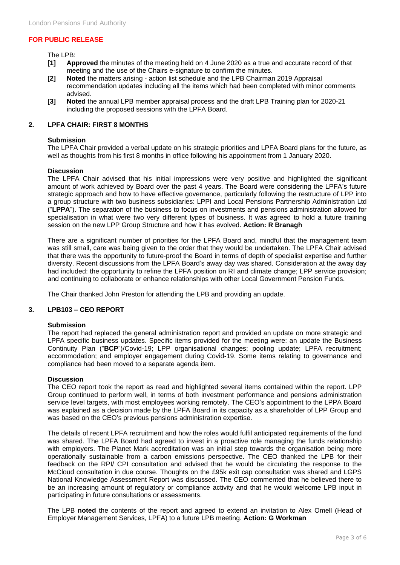The LPB:

- **[1] Approved** the minutes of the meeting held on 4 June 2020 as a true and accurate record of that meeting and the use of the Chairs e-signature to confirm the minutes.
- **[2] Noted** the matters arising action list schedule and the LPB Chairman 2019 Appraisal recommendation updates including all the items which had been completed with minor comments advised.
- **[3] Noted** the annual LPB member appraisal process and the draft LPB Training plan for 2020-21 including the proposed sessions with the LPFA Board.

# **2. LPFA CHAIR: FIRST 8 MONTHS**

# **Submission**

The LPFA Chair provided a verbal update on his strategic priorities and LPFA Board plans for the future, as well as thoughts from his first 8 months in office following his appointment from 1 January 2020.

## **Discussion**

The LPFA Chair advised that his initial impressions were very positive and highlighted the significant amount of work achieved by Board over the past 4 years. The Board were considering the LPFA's future strategic approach and how to have effective governance, particularly following the restructure of LPP into a group structure with two business subsidiaries: LPPI and Local Pensions Partnership Administration Ltd ("**LPPA**"). The separation of the business to focus on investments and pensions administration allowed for specialisation in what were two very different types of business. It was agreed to hold a future training session on the new LPP Group Structure and how it has evolved. **Action: R Branagh**

There are a significant number of priorities for the LPFA Board and, mindful that the management team was still small, care was being given to the order that they would be undertaken. The LPFA Chair advised that there was the opportunity to future-proof the Board in terms of depth of specialist expertise and further diversity. Recent discussions from the LPFA Board's away day was shared. Consideration at the away day had included: the opportunity to refine the LPFA position on RI and climate change; LPP service provision; and continuing to collaborate or enhance relationships with other Local Government Pension Funds.

The Chair thanked John Preston for attending the LPB and providing an update.

# **3. LPB103 – CEO REPORT**

## **Submission**

The report had replaced the general administration report and provided an update on more strategic and LPFA specific business updates. Specific items provided for the meeting were: an update the Business Continuity Plan ("**BCP**")/Covid-19; LPP organisational changes; pooling update; LPFA recruitment; accommodation; and employer engagement during Covid-19. Some items relating to governance and compliance had been moved to a separate agenda item.

## **Discussion**

The CEO report took the report as read and highlighted several items contained within the report. LPP Group continued to perform well, in terms of both investment performance and pensions administration service level targets, with most employees working remotely. The CEO's appointment to the LPPA Board was explained as a decision made by the LPFA Board in its capacity as a shareholder of LPP Group and was based on the CEO's previous pensions administration expertise.

The details of recent LPFA recruitment and how the roles would fulfil anticipated requirements of the fund was shared. The LPFA Board had agreed to invest in a proactive role managing the funds relationship with employers. The Planet Mark accreditation was an initial step towards the organisation being more operationally sustainable from a carbon emissions perspective. The CEO thanked the LPB for their feedback on the RPI/ CPI consultation and advised that he would be circulating the response to the McCloud consultation in due course. Thoughts on the £95k exit cap consultation was shared and LGPS National Knowledge Assessment Report was discussed. The CEO commented that he believed there to be an increasing amount of regulatory or compliance activity and that he would welcome LPB input in participating in future consultations or assessments.

The LPB **noted** the contents of the report and agreed to extend an invitation to Alex Omell (Head of Employer Management Services, LPFA) to a future LPB meeting. **Action: G Workman**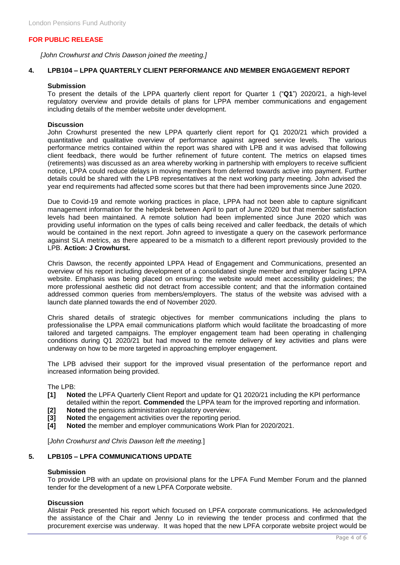*[John Crowhurst and Chris Dawson joined the meeting.]*

# **4. LPB104 – LPPA QUARTERLY CLIENT PERFORMANCE AND MEMBER ENGAGEMENT REPORT**

# **Submission**

To present the details of the LPPA quarterly client report for Quarter 1 ("**Q1**") 2020/21, a high-level regulatory overview and provide details of plans for LPPA member communications and engagement including details of the member website under development.

# **Discussion**

John Crowhurst presented the new LPPA quarterly client report for Q1 2020/21 which provided a quantitative and qualitative overview of performance against agreed service levels. The various performance metrics contained within the report was shared with LPB and it was advised that following client feedback, there would be further refinement of future content. The metrics on elapsed times (retirements) was discussed as an area whereby working in partnership with employers to receive sufficient notice, LPPA could reduce delays in moving members from deferred towards active into payment. Further details could be shared with the LPB representatives at the next working party meeting. John advised the year end requirements had affected some scores but that there had been improvements since June 2020.

Due to Covid-19 and remote working practices in place, LPPA had not been able to capture significant management information for the helpdesk between April to part of June 2020 but that member satisfaction levels had been maintained. A remote solution had been implemented since June 2020 which was providing useful information on the types of calls being received and caller feedback, the details of which would be contained in the next report. John agreed to investigate a query on the casework performance against SLA metrics, as there appeared to be a mismatch to a different report previously provided to the LPB. **Action: J Crowhurst.**

Chris Dawson, the recently appointed LPPA Head of Engagement and Communications, presented an overview of his report including development of a consolidated single member and employer facing LPPA website. Emphasis was being placed on ensuring: the website would meet accessibility guidelines; the more professional aesthetic did not detract from accessible content; and that the information contained addressed common queries from members/employers. The status of the website was advised with a launch date planned towards the end of November 2020.

Chris shared details of strategic objectives for member communications including the plans to professionalise the LPPA email communications platform which would facilitate the broadcasting of more tailored and targeted campaigns. The employer engagement team had been operating in challenging conditions during Q1 2020/21 but had moved to the remote delivery of key activities and plans were underway on how to be more targeted in approaching employer engagement.

The LPB advised their support for the improved visual presentation of the performance report and increased information being provided.

The LPB:

- **[1] Noted** the LPFA Quarterly Client Report and update for Q1 2020/21 including the KPI performance detailed within the report. **Commended** the LPPA team for the improved reporting and information.
- **[2] Noted** the pensions administration regulatory overview.
- **[3] Noted** the engagement activities over the reporting period.
- **[4] Noted** the member and employer communications Work Plan for 2020/2021.

[*John Crowhurst and Chris Dawson left the meeting.*]

# **5. LPB105 – LPFA COMMUNICATIONS UPDATE**

## **Submission**

To provide LPB with an update on provisional plans for the LPFA Fund Member Forum and the planned tender for the development of a new LPFA Corporate website.

# **Discussion**

Alistair Peck presented his report which focused on LPFA corporate communications. He acknowledged the assistance of the Chair and Jenny Lo in reviewing the tender process and confirmed that the procurement exercise was underway. It was hoped that the new LPFA corporate website project would be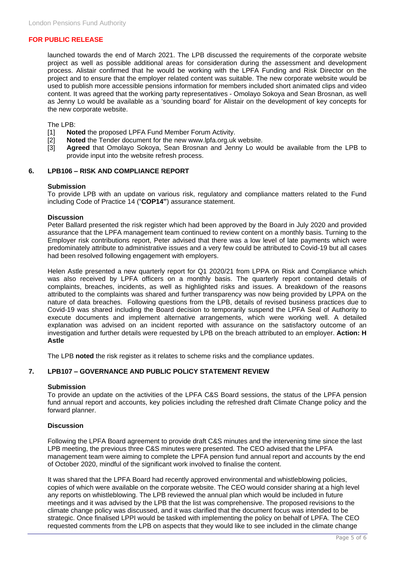launched towards the end of March 2021. The LPB discussed the requirements of the corporate website project as well as possible additional areas for consideration during the assessment and development process. Alistair confirmed that he would be working with the LPFA Funding and Risk Director on the project and to ensure that the employer related content was suitable. The new corporate website would be used to publish more accessible pensions information for members included short animated clips and video content. It was agreed that the working party representatives - Omolayo Sokoya and Sean Brosnan, as well as Jenny Lo would be available as a 'sounding board' for Alistair on the development of key concepts for the new corporate website.

The LPB:

- [1] **Noted** the proposed LPFA Fund Member Forum Activity.
- [2] **Noted** the Tender document for the new www.lpfa.org.uk website.
- [3] **Agreed** that Omolayo Sokoya, Sean Brosnan and Jenny Lo would be available from the LPB to provide input into the website refresh process.

## **6. LPB106 – RISK AND COMPLIANCE REPORT**

#### **Submission**

To provide LPB with an update on various risk, regulatory and compliance matters related to the Fund including Code of Practice 14 ("**COP14"**) assurance statement.

# **Discussion**

Peter Ballard presented the risk register which had been approved by the Board in July 2020 and provided assurance that the LPFA management team continued to review content on a monthly basis. Turning to the Employer risk contributions report, Peter advised that there was a low level of late payments which were predominately attribute to administrative issues and a very few could be attributed to Covid-19 but all cases had been resolved following engagement with employers.

Helen Astle presented a new quarterly report for Q1 2020/21 from LPPA on Risk and Compliance which was also received by LPFA officers on a monthly basis. The quarterly report contained details of complaints, breaches, incidents, as well as highlighted risks and issues. A breakdown of the reasons attributed to the complaints was shared and further transparency was now being provided by LPPA on the nature of data breaches. Following questions from the LPB, details of revised business practices due to Covid-19 was shared including the Board decision to temporarily suspend the LPFA Seal of Authority to execute documents and implement alternative arrangements, which were working well. A detailed explanation was advised on an incident reported with assurance on the satisfactory outcome of an investigation and further details were requested by LPB on the breach attributed to an employer. **Action: H Astle**

The LPB **noted** the risk register as it relates to scheme risks and the compliance updates.

# **7. LPB107 – GOVERNANCE AND PUBLIC POLICY STATEMENT REVIEW**

## **Submission**

To provide an update on the activities of the LPFA C&S Board sessions, the status of the LPFA pension fund annual report and accounts, key policies including the refreshed draft Climate Change policy and the forward planner.

## **Discussion**

Following the LPFA Board agreement to provide draft C&S minutes and the intervening time since the last LPB meeting, the previous three C&S minutes were presented. The CEO advised that the LPFA management team were aiming to complete the LPFA pension fund annual report and accounts by the end of October 2020, mindful of the significant work involved to finalise the content.

It was shared that the LPFA Board had recently approved environmental and whistleblowing policies, copies of which were available on the corporate website. The CEO would consider sharing at a high level any reports on whistleblowing. The LPB reviewed the annual plan which would be included in future meetings and it was advised by the LPB that the list was comprehensive. The proposed revisions to the climate change policy was discussed, and it was clarified that the document focus was intended to be strategic. Once finalised LPPI would be tasked with implementing the policy on behalf of LPFA. The CEO requested comments from the LPB on aspects that they would like to see included in the climate change